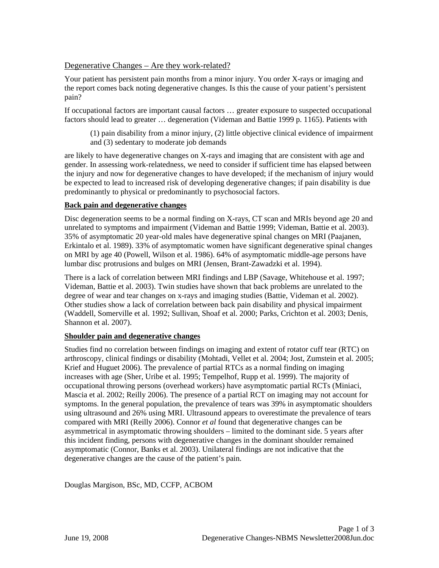## Degenerative Changes – Are they work-related?

Your patient has persistent pain months from a minor injury. You order X-rays or imaging and the report comes back noting degenerative changes. Is this the cause of your patient's persistent pain?

If occupational factors are important causal factors … greater exposure to suspected occupational factors should lead to greater … degeneration (Videman and Battie 1999 p. 1165). Patients with

(1) pain disability from a minor injury, (2) little objective clinical evidence of impairment and (3) sedentary to moderate job demands

are likely to have degenerative changes on X-rays and imaging that are consistent with age and gender. In assessing work-relatedness, we need to consider if sufficient time has elapsed between the injury and now for degenerative changes to have developed; if the mechanism of injury would be expected to lead to increased risk of developing degenerative changes; if pain disability is due predominantly to physical or predominantly to psychosocial factors.

## **Back pain and degenerative changes**

Disc degeneration seems to be a normal finding on X-rays, CT scan and MRIs beyond age 20 and unrelated to symptoms and impairment (Videman and Battie 1999; Videman, Battie et al. 2003). 35% of asymptomatic 20 year-old males have degenerative spinal changes on MRI (Paajanen, Erkintalo et al. 1989). 33% of asymptomatic women have significant degenerative spinal changes on MRI by age 40 (Powell, Wilson et al. 1986). 64% of asymptomatic middle-age persons have lumbar disc protrusions and bulges on MRI (Jensen, Brant-Zawadzki et al. 1994).

There is a lack of correlation between MRI findings and LBP (Savage, Whitehouse et al. 1997; Videman, Battie et al. 2003). Twin studies have shown that back problems are unrelated to the degree of wear and tear changes on x-rays and imaging studies (Battie, Videman et al. 2002). Other studies show a lack of correlation between back pain disability and physical impairment (Waddell, Somerville et al. 1992; Sullivan, Shoaf et al. 2000; Parks, Crichton et al. 2003; Denis, Shannon et al. 2007).

### **Shoulder pain and degenerative changes**

Studies find no correlation between findings on imaging and extent of rotator cuff tear (RTC) on arthroscopy, clinical findings or disability (Mohtadi, Vellet et al. 2004; Jost, Zumstein et al. 2005; Krief and Huguet 2006). The prevalence of partial RTCs as a normal finding on imaging increases with age (Sher, Uribe et al. 1995; Tempelhof, Rupp et al. 1999). The majority of occupational throwing persons (overhead workers) have asymptomatic partial RCTs (Miniaci, Mascia et al. 2002; Reilly 2006). The presence of a partial RCT on imaging may not account for symptoms. In the general population, the prevalence of tears was 39% in asymptomatic shoulders using ultrasound and 26% using MRI. Ultrasound appears to overestimate the prevalence of tears compared with MRI (Reilly 2006). Connor *et al* found that degenerative changes can be asymmetrical in asymptomatic throwing shoulders – limited to the dominant side. 5 years after this incident finding, persons with degenerative changes in the dominant shoulder remained asymptomatic (Connor, Banks et al. 2003). Unilateral findings are not indicative that the degenerative changes are the cause of the patient's pain.

Douglas Margison, BSc, MD, CCFP, ACBOM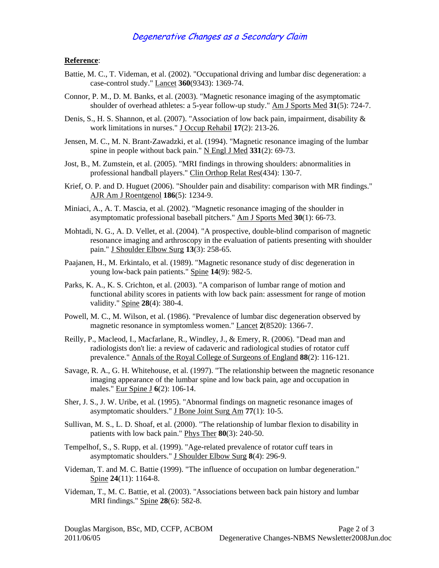## Degenerative Changes as a Secondary Claim

#### **Reference**:

- Battie, M. C., T. Videman, et al. (2002). "Occupational driving and lumbar disc degeneration: a case-control study." Lancet **360**(9343): 1369-74.
- Connor, P. M., D. M. Banks, et al. (2003). "Magnetic resonance imaging of the asymptomatic shoulder of overhead athletes: a 5-year follow-up study." Am J Sports Med **31**(5): 724-7.
- Denis, S., H. S. Shannon, et al. (2007). "Association of low back pain, impairment, disability & work limitations in nurses." J Occup Rehabil **17**(2): 213-26.
- Jensen, M. C., M. N. Brant-Zawadzki, et al. (1994). "Magnetic resonance imaging of the lumbar spine in people without back pain." N Engl J Med **331**(2): 69-73.
- Jost, B., M. Zumstein, et al. (2005). "MRI findings in throwing shoulders: abnormalities in professional handball players." Clin Orthop Relat Res(434): 130-7.
- Krief, O. P. and D. Huguet (2006). "Shoulder pain and disability: comparison with MR findings." AJR Am J Roentgenol **186**(5): 1234-9.
- Miniaci, A., A. T. Mascia, et al. (2002). "Magnetic resonance imaging of the shoulder in asymptomatic professional baseball pitchers." Am J Sports Med **30**(1): 66-73.
- Mohtadi, N. G., A. D. Vellet, et al. (2004). "A prospective, double-blind comparison of magnetic resonance imaging and arthroscopy in the evaluation of patients presenting with shoulder pain." J Shoulder Elbow Surg **13**(3): 258-65.
- Paajanen, H., M. Erkintalo, et al. (1989). "Magnetic resonance study of disc degeneration in young low-back pain patients." Spine **14**(9): 982-5.
- Parks, K. A., K. S. Crichton, et al. (2003). "A comparison of lumbar range of motion and functional ability scores in patients with low back pain: assessment for range of motion validity." Spine **28**(4): 380-4.
- Powell, M. C., M. Wilson, et al. (1986). "Prevalence of lumbar disc degeneration observed by magnetic resonance in symptomless women." Lancet **2**(8520): 1366-7.
- Reilly, P., Macleod, I., Macfarlane, R., Windley, J., & Emery, R. (2006). "Dead man and radiologists don't lie: a review of cadaveric and radiological studies of rotator cuff prevalence." Annals of the Royal College of Surgeons of England **88**(2): 116-121.
- Savage, R. A., G. H. Whitehouse, et al. (1997). "The relationship between the magnetic resonance imaging appearance of the lumbar spine and low back pain, age and occupation in males." Eur Spine J **6**(2): 106-14.
- Sher, J. S., J. W. Uribe, et al. (1995). "Abnormal findings on magnetic resonance images of asymptomatic shoulders." J Bone Joint Surg Am **77**(1): 10-5.
- Sullivan, M. S., L. D. Shoaf, et al. (2000). "The relationship of lumbar flexion to disability in patients with low back pain." Phys Ther **80**(3): 240-50.
- Tempelhof, S., S. Rupp, et al. (1999). "Age-related prevalence of rotator cuff tears in asymptomatic shoulders." J Shoulder Elbow Surg **8**(4): 296-9.
- Videman, T. and M. C. Battie (1999). "The influence of occupation on lumbar degeneration." Spine **24**(11): 1164-8.
- Videman, T., M. C. Battie, et al. (2003). "Associations between back pain history and lumbar MRI findings." Spine **28**(6): 582-8.